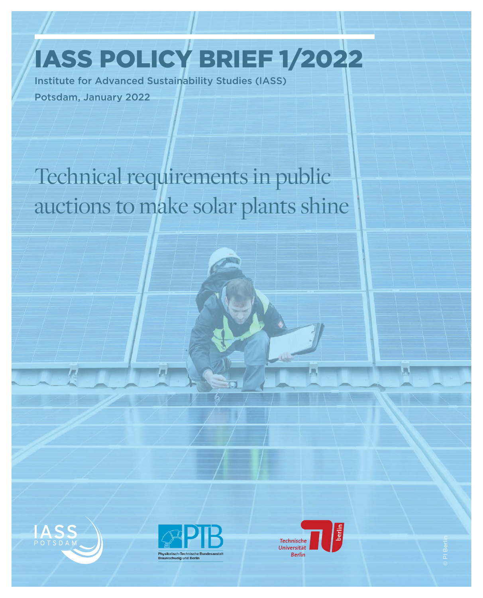IASS POLICY BRIEF 1/2022

Institute for Advanced Sustainability Studies (IASS) Potsdam, January 2022

Im

Technical requirements in public auctions to make solar plants shine







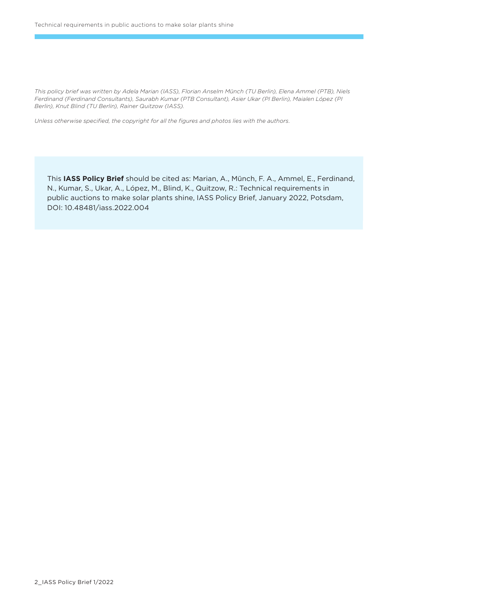*This policy brief was written by Adela Marian (IASS), Florian Anselm Münch (TU Berlin), Elena Ammel (PTB), Niels Ferdinand (Ferdinand Consultants), Saurabh Kumar (PTB Consultant), Asier Ukar (PI Berlin), Maialen López (PI Berlin), Knut Blind (TU Berlin), Rainer Quitzow (IASS).* 

*Unless otherwise specified, the copyright for all the figures and photos lies with the authors.*

This **IASS Policy Brief** should be cited as: Marian, A., Münch, F. A., Ammel, E., Ferdinand, N., Kumar, S., Ukar, A., López, M., Blind, K., Quitzow, R.: Technical requirements in public auctions to make solar plants shine, IASS Policy Brief, January 2022, Potsdam, DOI: 10.48481/iass.2022.004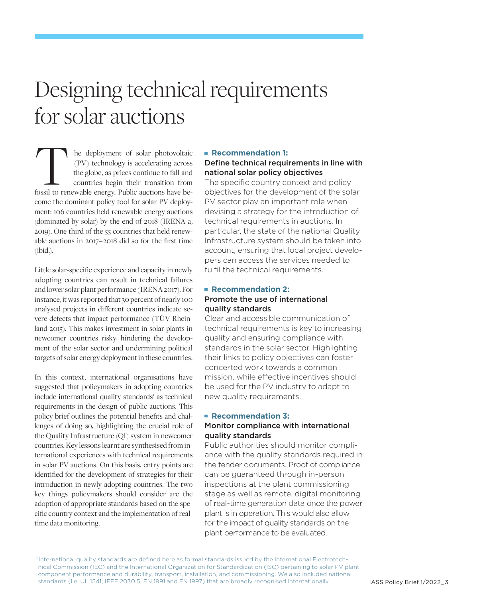# Designing technical requirements for solar auctions

he deployment of solar photovoltaic (PV) technology is accelerating across the globe, as prices continue to fall and countries begin their transition from Fossil to renewable energy. Public auctions have be-<br>the globe, as prices continue to fall and countries begin their transition from<br>fossil to renewable energy. Public auctions have become the dominant policy tool for solar PV deployment: 106 countries held renewable energy auctions (dominated by solar) by the end of 2018 (IRENA a, 2019). One third of the 55 countries that held renewable auctions in 2017 – 2018 did so for the first time (ibid.).

Little solar-specific experience and capacity in newly adopting countries can result in technical failures and lower solar plant performance (IRENA 2017). For instance, it was reported that 30 percent of nearly 100 analysed projects in different countries indicate severe defects that impact performance (TÜV Rheinland 2015). This makes investment in solar plants in newcomer countries risky, hindering the development of the solar sector and undermining political targets of solar energy deployment in these countries.

In this context, international organisations have suggested that policymakers in adopting countries include international quality standards<sup>1</sup> as technical requirements in the design of public auctions. This policy brief outlines the potential benefits and challenges of doing so, highlighting the crucial role of the Quality Infrastructure (QI) system in newcomer countries. Key lessons learnt are synthesised from international experiences with technical requirements in solar PV auctions. On this basis, entry points are identified for the development of strategies for their introduction in newly adopting countries. The two key things policymakers should consider are the adoption of appropriate standards based on the specific country context and the implementation of realtime data monitoring.

#### **Recommendation 1:**

### Define technical requirements in line with national solar policy objectives

The specific country context and policy objectives for the development of the solar PV sector play an important role when devising a strategy for the introduction of technical requirements in auctions. In particular, the state of the national Quality Infrastructure system should be taken into account, ensuring that local project developers can access the services needed to fulfil the technical requirements.

### **Recommendation 2:** Promote the use of international quality standards

Clear and accessible communication of technical requirements is key to increasing quality and ensuring compliance with standards in the solar sector. Highlighting their links to policy objectives can foster concerted work towards a common mission, while effective incentives should be used for the PV industry to adapt to new quality requirements.

### **Recommendation 3:**

### Monitor compliance with international quality standards

Public authorities should monitor compliance with the quality standards required in the tender documents. Proof of compliance can be guaranteed through in-person inspections at the plant commissioning stage as well as remote, digital monitoring of real-time generation data once the power plant is in operation. This would also allow for the impact of quality standards on the plant performance to be evaluated.

1 International quality standards are defined here as formal standards issued by the International Electrotech nical Commission (IEC) and the International Organization for Standardization (ISO) pertaining to solar PV plant component performance and durability, transport, installation, and commissioning. We also included national standards (i.e. UL 1541, IEEE 2030.5, EN 1991 and EN 1997) that are broadly recognised internationally.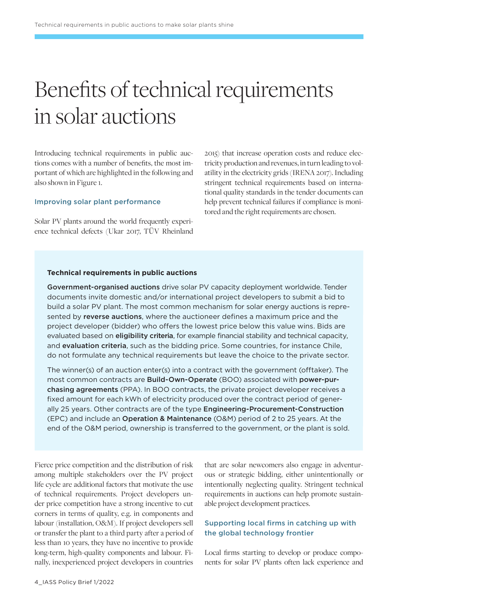# Benefits of technical requirements in solar auctions

Introducing technical requirements in public auctions comes with a number of benefits, the most important of which are highlighted in the following and also shown in Figure 1.

#### Improving solar plant performance

Solar PV plants around the world frequently experience technical defects (Ukar 2017, TÜV Rheinland 2015) that increase operation costs and reduce electricity production and revenues, in turn leading to volatility in the electricity grids (IRENA 2017). Including stringent technical requirements based on international quality standards in the tender documents can help prevent technical failures if compliance is monitored and the right requirements are chosen.

#### **Technical requirements in public auctions**

Government-organised auctions drive solar PV capacity deployment worldwide. Tender documents invite domestic and/or international project developers to submit a bid to build a solar PV plant. The most common mechanism for solar energy auctions is represented by reverse auctions, where the auctioneer defines a maximum price and the project developer (bidder) who offers the lowest price below this value wins. Bids are evaluated based on **eligibility criteria**, for example financial stability and technical capacity, and evaluation criteria, such as the bidding price. Some countries, for instance Chile, do not formulate any technical requirements but leave the choice to the private sector.

The winner(s) of an auction enter(s) into a contract with the government (offtaker). The most common contracts are Build-Own-Operate (BOO) associated with power-purchasing agreements (PPA). In BOO contracts, the private project developer receives a fixed amount for each kWh of electricity produced over the contract period of generally 25 years. Other contracts are of the type Engineering-Procurement-Construction (EPC) and include an Operation & Maintenance (O&M) period of 2 to 25 years. At the end of the O&M period, ownership is transferred to the government, or the plant is sold.

Fierce price competition and the distribution of risk among multiple stakeholders over the PV project life cycle are additional factors that motivate the use of technical requirements. Project developers under price competition have a strong incentive to cut corners in terms of quality, e.g. in components and labour (installation, O&M). If project developers sell or transfer the plant to a third party after a period of less than 10 years, they have no incentive to provide long-term, high-quality components and labour. Finally, inexperienced project developers in countries

that are solar newcomers also engage in adventurous or strategic bidding, either unintentionally or intentionally neglecting quality. Stringent technical requirements in auctions can help promote sustainable project development practices.

### Supporting local firms in catching up with the global technology frontier

Local firms starting to develop or produce components for solar PV plants often lack experience and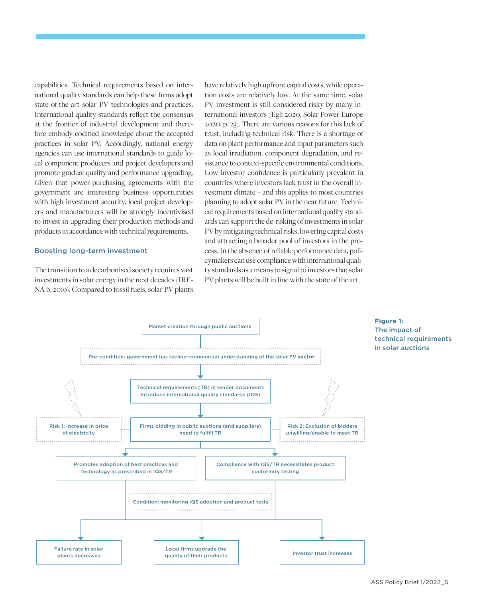capabilities. Technical requirements based on international quality standards can help these firms adopt state-of-the-art solar PV technologies and practices. International quality standards reflect the consensus at the frontier of industrial development and therefore embody codified knowledge about the accepted practices in solar PV. Accordingly, national energy agencies can use international standards to guide local component producers and project developers and promote gradual quality and performance upgrading. Given that power-purchasing agreements with the government are interesting business opportunities with high investment security, local project developers and manufacturers will be strongly incentivised to invest in upgrading their production methods and products in accordance with technical requirements.

#### Boosting long-term investment

The transition to a decarbonised society requires vast investments in solar energy in the next decades (IRE-NA b, 2019). Compared to fossil fuels, solar PV plants have relatively high upfront capital costs, while operation costs are relatively low. At the same time, solar PV investment is still considered risky by many international investors (Egli 2020, Solar Power Europe 2020, p. 23). There are various reasons for this lack of trust, including technical risk. There is a shortage of data on plant performance and input parameters such as local irradiation, component degradation, and resistance to context-specific environmental conditions. Low investor confidence is particularly prevalent in countries where investors lack trust in the overall investment climate – and this applies to most countries planning to adopt solar PV in the near future. Technical requirements based on international quality standards can support the de-risking of investments in solar PV by mitigating technical risks, lowering capital costs and attracting a broader pool of investors in the process. In the absence of reliable performance data, policymakers can use compliance with international quality standards as a means to signal to investors that solar PV plants will be built in line with the state of the art.

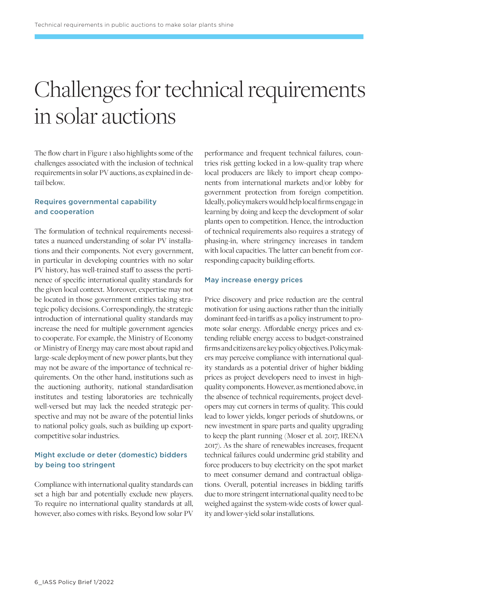# Challenges for technical requirements in solar auctions

The flow chart in Figure 1 also highlights some of the challenges associated with the inclusion of technical requirements in solar PV auctions, as explained in detail below.

### Requires governmental capability and cooperation

The formulation of technical requirements necessitates a nuanced understanding of solar PV installations and their components. Not every government, in particular in developing countries with no solar PV history, has well-trained staff to assess the pertinence of specific international quality standards for the given local context. Moreover, expertise may not be located in those government entities taking strategic policy decisions. Correspondingly, the strategic introduction of international quality standards may increase the need for multiple government agencies to cooperate. For example, the Ministry of Economy or Ministry of Energy may care most about rapid and large-scale deployment of new power plants, but they may not be aware of the importance of technical requirements. On the other hand, institutions such as the auctioning authority, national standardisation institutes and testing laboratories are technically well-versed but may lack the needed strategic perspective and may not be aware of the potential links to national policy goals, such as building up exportcompetitive solar industries.

### Might exclude or deter (domestic) bidders by being too stringent

Compliance with international quality standards can set a high bar and potentially exclude new players. To require no international quality standards at all, however, also comes with risks. Beyond low solar PV

performance and frequent technical failures, countries risk getting locked in a low-quality trap where local producers are likely to import cheap components from international markets and/or lobby for government protection from foreign competition. Ideally, policymakers would help local firms engage in learning by doing and keep the development of solar plants open to competition. Hence, the introduction of technical requirements also requires a strategy of phasing-in, where stringency increases in tandem with local capacities. The latter can benefit from corresponding capacity building efforts.

#### May increase energy prices

Price discovery and price reduction are the central motivation for using auctions rather than the initially dominant feed-in tariffs as a policy instrument to promote solar energy. Affordable energy prices and extending reliable energy access to budget-constrained firms and citizens are key policy objectives. Policymakers may perceive compliance with international quality standards as a potential driver of higher bidding prices as project developers need to invest in highquality components. However, as mentioned above, in the absence of technical requirements, project developers may cut corners in terms of quality. This could lead to lower yields, longer periods of shutdowns, or new investment in spare parts and quality upgrading to keep the plant running (Moser et al. 2017, IRENA 2017). As the share of renewables increases, frequent technical failures could undermine grid stability and force producers to buy electricity on the spot market to meet consumer demand and contractual obligations. Overall, potential increases in bidding tariffs due to more stringent international quality need to be weighed against the system-wide costs of lower quality and lower-yield solar installations.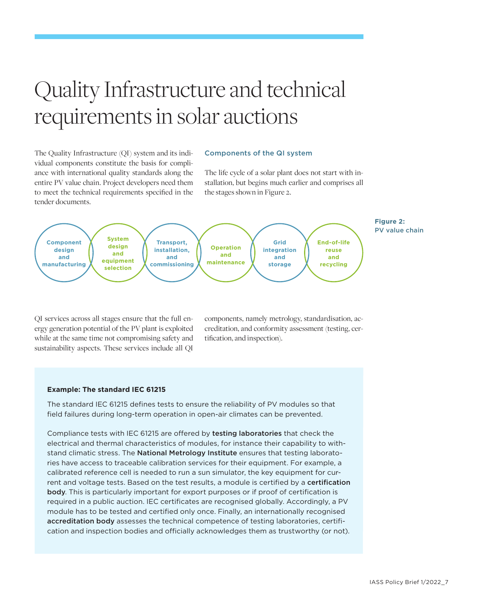# Quality Infrastructure and technical requirements in solar auctions

The Quality Infrastructure (QI) system and its individual components constitute the basis for compliance with international quality standards along the entire PV value chain. Project developers need them to meet the technical requirements specified in the tender documents.

#### Components of the QI system

The life cycle of a solar plant does not start with installation, but begins much earlier and comprises all the stages shown in Figure 2.



QI services across all stages ensure that the full energy generation potential of the PV plant is exploited while at the same time not compromising safety and sustainability aspects. These services include all QI

components, namely metrology, standardisation, accreditation, and conformity assessment (testing, certification, and inspection).

#### **Example: The standard IEC 61215**

The standard IEC 61215 defines tests to ensure the reliability of PV modules so that field failures during long-term operation in open-air climates can be prevented.

Compliance tests with IEC 61215 are offered by testing laboratories that check the electrical and thermal characteristics of modules, for instance their capability to withstand climatic stress. The National Metrology Institute ensures that testing laboratories have access to traceable calibration services for their equipment. For example, a calibrated reference cell is needed to run a sun simulator, the key equipment for current and voltage tests. Based on the test results, a module is certified by a certification body. This is particularly important for export purposes or if proof of certification is required in a public auction. IEC certificates are recognised globally. Accordingly, a PV module has to be tested and certified only once. Finally, an internationally recognised accreditation body assesses the technical competence of testing laboratories, certification and inspection bodies and officially acknowledges them as trustworthy (or not).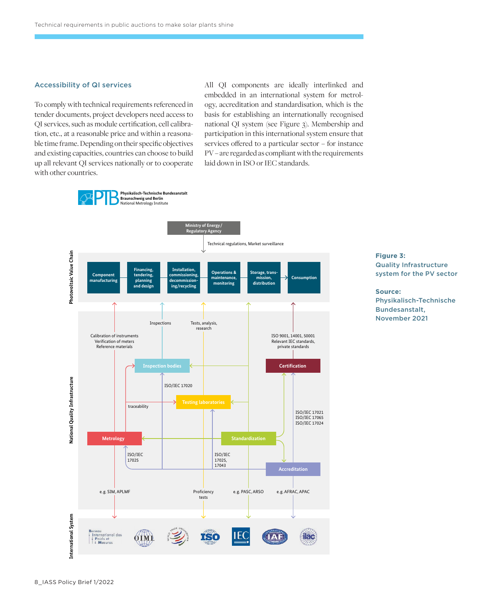#### Accessibility of QI services

To comply with technical requirements referenced in tender documents, project developers need access to QI services, such as module certification, cell calibration, etc., at a reasonable price and within a reasonable time frame. Depending on their specific objectives and existing capacities, countries can choose to build up all relevant QI services nationally or to cooperate with other countries.

All QI components are ideally interlinked and embedded in an international system for metrology, accreditation and standardisation, which is the basis for establishing an internationally recognised national QI system (see Figure 3). Membership and participation in this international system ensure that services offered to a particular sector – for instance PV – are regarded as compliant with the requirements laid down in ISO or IEC standards.



### **Figure 3:**  Quality Infrastructure system for the PV sector

**Source:** Physikalisch-Technische Bundesanstalt, November 2021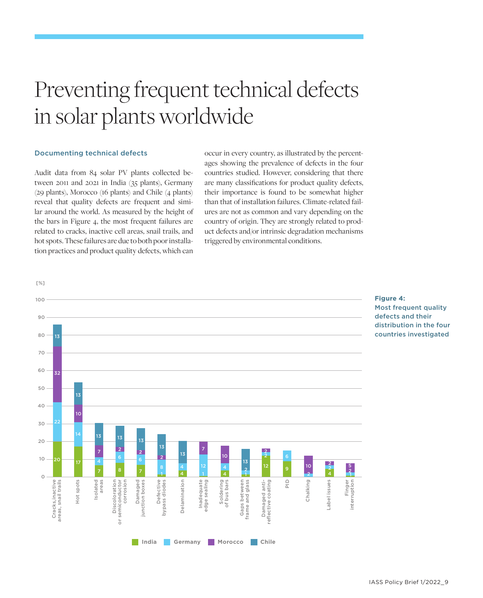# Preventing frequent technical defects in solar plants worldwide

#### Documenting technical defects

Audit data from 84 solar PV plants collected between 2011 and 2021 in India (35 plants), Germany (29 plants), Morocco (16 plants) and Chile (4 plants) reveal that quality defects are frequent and similar around the world. As measured by the height of the bars in Figure 4, the most frequent failures are related to cracks, inactive cell areas, snail trails, and hot spots. These failures are due to both poor installation practices and product quality defects, which can

occur in every country, as illustrated by the percentages showing the prevalence of defects in the four countries studied. However, considering that there are many classifications for product quality defects, their importance is found to be somewhat higher than that of installation failures. Climate-related failures are not as common and vary depending on the country of origin. They are strongly related to product defects and/or intrinsic degradation mechanisms triggered by environmental conditions.



**Figure 4:**  Most frequent quality defects and their distribution in the four countries investigated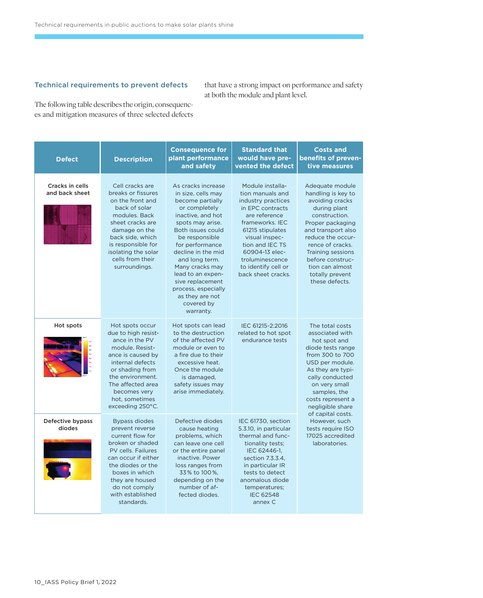### Technical requirements to prevent defects

that have a strong impact on performance and safety at both the module and plant level.

The following table describes the origin, consequences and mitigation measures of three selected defects

| <b>Defect</b>                     | <b>Description</b>                                                                                                                                                                                                                        | <b>Consequence for</b><br>plant performance<br>and safety                                                                                                                                                                                                                                                                                                 | <b>Standard that</b><br>would have pre-<br>vented the defect                                                                                                                                                                                                  | <b>Costs and</b><br>benefits of preven-<br>tive measures                                                                                                                                                                                                                                                                        |
|-----------------------------------|-------------------------------------------------------------------------------------------------------------------------------------------------------------------------------------------------------------------------------------------|-----------------------------------------------------------------------------------------------------------------------------------------------------------------------------------------------------------------------------------------------------------------------------------------------------------------------------------------------------------|---------------------------------------------------------------------------------------------------------------------------------------------------------------------------------------------------------------------------------------------------------------|---------------------------------------------------------------------------------------------------------------------------------------------------------------------------------------------------------------------------------------------------------------------------------------------------------------------------------|
| Cracks in cells<br>and back sheet | Cell cracks are<br>breaks or fissures<br>on the front and<br>back of solar<br>modules. Back<br>sheet cracks are<br>damage on the<br>back side, which<br>is responsible for<br>isolating the solar<br>cells from their<br>surroundings.    | As cracks increase<br>in size, cells may<br>become partially<br>or completely<br>inactive, and hot<br>spots may arise.<br>Both issues could<br>be responsible<br>for performance<br>decline in the mid<br>and long term.<br>Many cracks may<br>lead to an expen-<br>sive replacement<br>process, especially<br>as they are not<br>covered by<br>warranty. | Module installa-<br>tion manuals and<br>industry practices<br>in EPC contracts<br>are reference<br>frameworks. IEC<br>61215 stipulates<br>visual inspec-<br>tion and IEC TS<br>60904-13 elec-<br>troluminescence<br>to identify cell or<br>back sheet cracks. | Adequate module<br>handling is key to<br>avoiding cracks<br>during plant<br>construction.<br>Proper packaging<br>and transport also<br>reduce the occur-<br>rence of cracks.<br><b>Training sessions</b><br>before construc-<br>tion can almost<br>totally prevent<br>these defects.                                            |
| Hot spots                         | Hot spots occur<br>due to high resist-<br>ance in the PV<br>module. Resist-<br>ance is caused by<br>internal defects<br>or shading from<br>the environment.<br>The affected area<br>becomes very<br>hot, sometimes<br>exceeding 250°C.    | Hot spots can lead<br>to the destruction<br>of the affected PV<br>module or even to<br>a fire due to their<br>excessive heat.<br>Once the module<br>is damaged.<br>safety issues may<br>arise immediately.                                                                                                                                                | IEC 61215-2:2016<br>related to hot spot<br>endurance tests                                                                                                                                                                                                    | The total costs<br>associated with<br>hot spot and<br>diode tests range<br>from 300 to 700<br>USD per module.<br>As they are typi-<br>cally conducted<br>on very small<br>samples, the<br>costs represent a<br>negligible share<br>of capital costs.<br>However, such<br>tests require ISO<br>17025 accredited<br>laboratories. |
| Defective bypass<br>diodes        | <b>Bypass diodes</b><br>prevent reverse<br>current flow for<br>broken or shaded<br>PV cells. Failures<br>can occur if either<br>the diodes or the<br>boxes in which<br>they are housed<br>do not comply<br>with established<br>standards. | Defective diodes<br>cause heating<br>problems, which<br>can leave one cell<br>or the entire panel<br>inactive. Power<br>loss ranges from<br>33% to 100%,<br>depending on the<br>number of af-<br>fected diodes.                                                                                                                                           | IEC 61730, section<br>5.3.10, in particular<br>thermal and func-<br>tionality tests:<br>IEC 62446-1,<br>section 7.3.3.4,<br>in particular IR<br>tests to detect<br>anomalous diode<br>temperatures;<br><b>IEC 62548</b><br>annex C                            |                                                                                                                                                                                                                                                                                                                                 |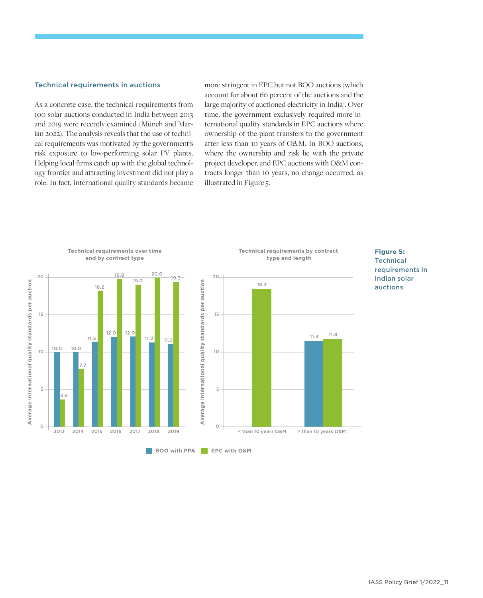#### Technical requirements in auctions

As a concrete case, the technical requirements from 100 solar auctions conducted in India between 2013 and 2019 were recently examined (Münch and Marian 2022). The analysis reveals that the use of technical requirements was motivated by the government's risk exposure to low-performing solar PV plants. Helping local firms catch up with the global technology frontier and attracting investment did not play a role. In fact, international quality standards became

more stringent in EPC but not BOO auctions (which account for about 60 percent of the auctions and the large majority of auctioned electricity in India). Over time, the government exclusively required more international quality standards in EPC auctions where ownership of the plant transfers to the government after less than 10 years of O&M. In BOO auctions, where the ownership and risk lie with the private project developer, and EPC auctions with O&M contracts longer than 10 years, no change occurred, as illustrated in Figure 5.

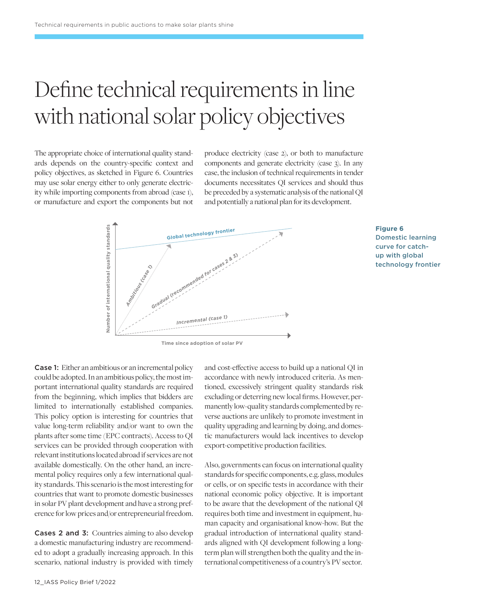# Define technical requirements in line with national solar policy objectives

The appropriate choice of international quality standards depends on the country-specific context and policy objectives, as sketched in Figure 6. Countries may use solar energy either to only generate electricity while importing components from abroad (case 1), or manufacture and export the components but not

produce electricity (case 2), or both to manufacture components and generate electricity (case 3). In any case, the inclusion of technical requirements in tender documents necessitates QI services and should thus be preceded by a systematic analysis of the national QI and potentially a national plan for its development.



### **Figure 6**  Domestic learning curve for catchup with global technology frontier

Case 1: Either an ambitious or an incremental policy could be adopted. In an ambitious policy, the most important international quality standards are required from the beginning, which implies that bidders are limited to internationally established companies. This policy option is interesting for countries that value long-term reliability and/or want to own the plants after some time (EPC contracts). Access to QI services can be provided through cooperation with relevant institutions located abroad if services are not available domestically. On the other hand, an incremental policy requires only a few international quality standards. This scenario is the most interesting for countries that want to promote domestic businesses in solar PV plant development and have a strong preference for low prices and/or entrepreneurial freedom.

Cases 2 and 3:Countries aiming to also develop a domestic manufacturing industry are recommended to adopt a gradually increasing approach. In this scenario, national industry is provided with timely

and cost-effective access to build up a national QI in accordance with newly introduced criteria. As mentioned, excessively stringent quality standards risk excluding or deterring new local firms. However, permanently low-quality standards complemented by reverse auctions are unlikely to promote investment in quality upgrading and learning by doing, and domestic manufacturers would lack incentives to develop export-competitive production facilities.

Also, governments can focus on international quality standards for specific components, e.g. glass, modules or cells, or on specific tests in accordance with their national economic policy objective. It is important to be aware that the development of the national QI requires both time and investment in equipment, human capacity and organisational know-how. But the gradual introduction of international quality standards aligned with QI development following a longterm plan will strengthen both the quality and the international competitiveness of a country's PV sector.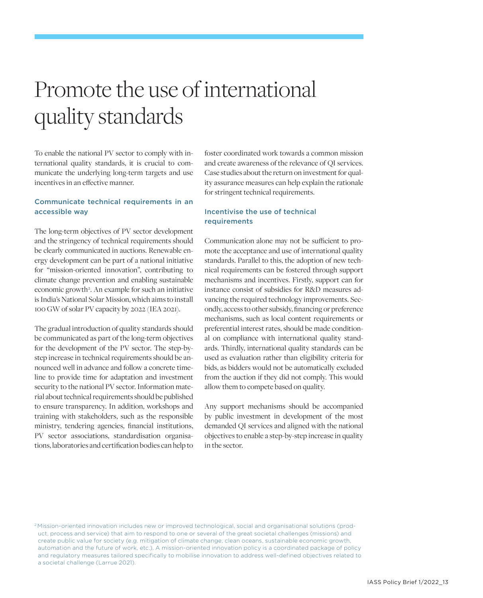# Promote the use of international quality standards

To enable the national PV sector to comply with international quality standards, it is crucial to communicate the underlying long-term targets and use incentives in an effective manner.

### Communicate technical requirements in an accessible way

The long-term objectives of PV sector development and the stringency of technical requirements should be clearly communicated in auctions. Renewable energy development can be part of a national initiative for "mission-oriented innovation", contributing to climate change prevention and enabling sustainable economic growth<sup>2</sup>. An example for such an initiative is India's National Solar Mission, which aims to install 100 GW of solar PV capacity by 2022 (IEA 2021).

The gradual introduction of quality standards should be communicated as part of the long-term objectives for the development of the PV sector. The step-bystep increase in technical requirements should be announced well in advance and follow a concrete timeline to provide time for adaptation and investment security to the national PV sector. Information material about technical requirements should be published to ensure transparency. In addition, workshops and training with stakeholders, such as the responsible ministry, tendering agencies, financial institutions, PV sector associations, standardisation organisations, laboratories and certification bodies can help to

foster coordinated work towards a common mission and create awareness of the relevance of QI services. Case studies about the return on investment for quality assurance measures can help explain the rationale for stringent technical requirements.

### Incentivise the use of technical requirements

Communication alone may not be sufficient to promote the acceptance and use of international quality standards. Parallel to this, the adoption of new technical requirements can be fostered through support mechanisms and incentives. Firstly, support can for instance consist of subsidies for R&D measures advancing the required technology improvements. Secondly, access to other subsidy, financing or preference mechanisms, such as local content requirements or preferential interest rates, should be made conditional on compliance with international quality standards. Thirdly, international quality standards can be used as evaluation rather than eligibility criteria for bids, as bidders would not be automatically excluded from the auction if they did not comply. This would allow them to compete based on quality.

Any support mechanisms should be accompanied by public investment in development of the most demanded QI services and aligned with the national objectives to enable a step-by-step increase in quality in the sector.

2 Mission-oriented innovation includes new or improved technological, social and organisational solutions (product, process and service) that aim to respond to one or several of the great societal challenges (missions) and create public value for society (e.g. mitigation of climate change, clean oceans, sustainable economic growth, automation and the future of work, etc.). A mission-oriented innovation policy is a coordinated package of policy and regulatory measures tailored specifically to mobilise innovation to address well-defined objectives related to a societal challenge (Larrue 2021).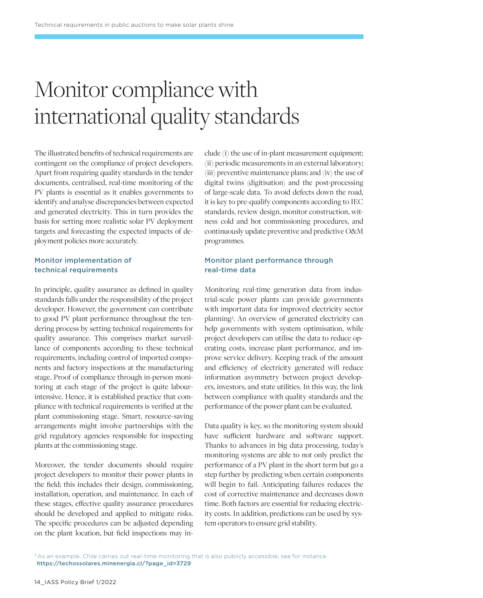# Monitor compliance with international quality standards

The illustrated benefits of technical requirements are contingent on the compliance of project developers. Apart from requiring quality standards in the tender documents, centralised, real-time monitoring of the PV plants is essential as it enables governments to identify and analyse discrepancies between expected and generated electricity. This in turn provides the basis for setting more realistic solar PV deployment targets and forecasting the expected impacts of deployment policies more accurately.

### Monitor implementation of technical requirements

In principle, quality assurance as defined in quality standards falls under the responsibility of the project developer. However, the government can contribute to good PV plant performance throughout the tendering process by setting technical requirements for quality assurance. This comprises market surveillance of components according to these technical requirements, including control of imported components and factory inspections at the manufacturing stage. Proof of compliance through in-person monitoring at each stage of the project is quite labourintensive. Hence, it is established practice that compliance with technical requirements is verified at the plant commissioning stage. Smart, resource-saving arrangements might involve partnerships with the grid regulatory agencies responsible for inspecting plants at the commissioning stage.

Moreover, the tender documents should require project developers to monitor their power plants in the field; this includes their design, commissioning, installation, operation, and maintenance. In each of these stages, effective quality assurance procedures should be developed and applied to mitigate risks. The specific procedures can be adjusted depending on the plant location, but field inspections may include (i) the use of in-plant measurement equipment; (ii) periodic measurements in an external laboratory; (iii) preventive maintenance plans; and (iv) the use of digital twins (digitisation) and the post-processing of large-scale data. To avoid defects down the road, it is key to pre-qualify components according to IEC standards, review design, monitor construction, witness cold and hot commissioning procedures, and continuously update preventive and predictive O&M programmes.

### Monitor plant performance through real-time data

Monitoring real-time generation data from industrial-scale power plants can provide governments with important data for improved electricity sector planning3 . An overview of generated electricity can help governments with system optimisation, while project developers can utilise the data to reduce operating costs, increase plant performance, and improve service delivery. Keeping track of the amount and efficiency of electricity generated will reduce information asymmetry between project developers, investors, and state utilities. In this way, the link between compliance with quality standards and the performance of the power plant can be evaluated.

Data quality is key, so the monitoring system should have sufficient hardware and software support. Thanks to advances in big data processing, today's monitoring systems are able to not only predict the performance of a PV plant in the short term but go a step further by predicting when certain components will begin to fail. Anticipating failures reduces the cost of corrective maintenance and decreases down time. Both factors are essential for reducing electricity costs. In addition, predictions can be used by system operators to ensure grid stability.

<sup>&</sup>lt;sup>3</sup> As an example, Chile carries out real-time monitoring that is also publicly accessible, see for instance  [https://techossolares.minenergia.cl/?page\\_id=3729](https://techossolares.minenergia.cl/?page_id=3729)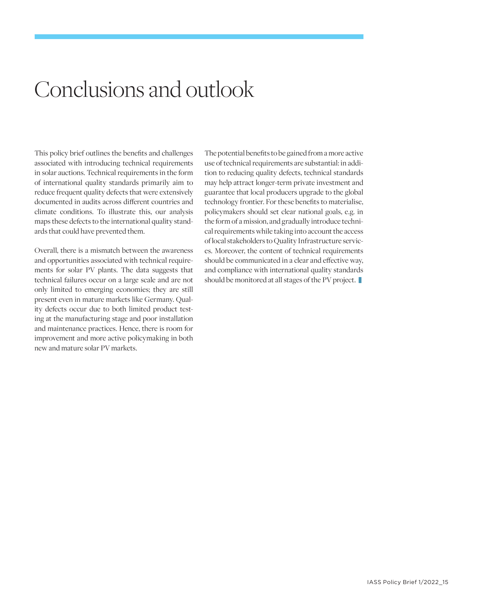## Conclusions and outlook

This policy brief outlines the benefits and challenges associated with introducing technical requirements in solar auctions. Technical requirements in the form of international quality standards primarily aim to reduce frequent quality defects that were extensively documented in audits across different countries and climate conditions. To illustrate this, our analysis maps these defects to the international quality standards that could have prevented them.

Overall, there is a mismatch between the awareness and opportunities associated with technical requirements for solar PV plants. The data suggests that technical failures occur on a large scale and are not only limited to emerging economies; they are still present even in mature markets like Germany. Quality defects occur due to both limited product testing at the manufacturing stage and poor installation and maintenance practices. Hence, there is room for improvement and more active policymaking in both new and mature solar PV markets.

The potential benefits to be gained from a more active use of technical requirements are substantial: in addition to reducing quality defects, technical standards may help attract longer-term private investment and guarantee that local producers upgrade to the global technology frontier. For these benefits to materialise, policymakers should set clear national goals, e.g. in the form of a mission, and gradually introduce technical requirements while taking into account the access of local stakeholders to Quality Infrastructure services. Moreover, the content of technical requirements should be communicated in a clear and effective way, and compliance with international quality standards should be monitored at all stages of the PV project.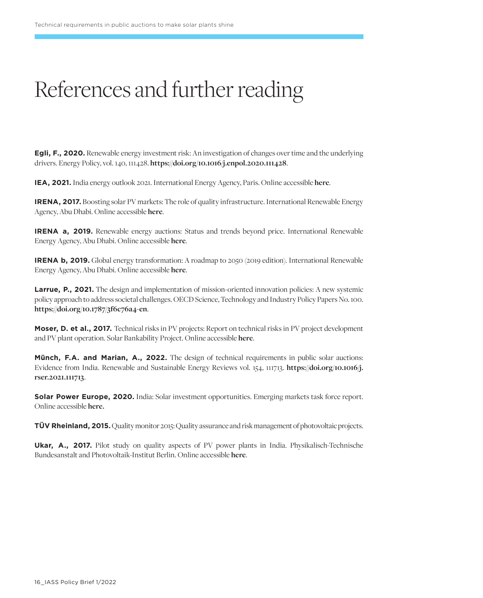# References and further reading

**Egli, F., 2020.** Renewable energy investment risk: An investigation of changes over time and the underlying drivers. Energy Policy, vol. 140, 111428. **[https://doi.org/10.1016/j.enpol.2020.111428](https://www.sciencedirect.com/science/article/pii/S0301421520301816?via%3Dihub)**.

**IEA, 2021.** India energy outlook 2021. International Energy Agency, Paris. Online accessible **[here](https://iea.blob.core.windows.net/assets/1de6d91e-e23f-4e02-b1fb-51fdd6283b22/India_Energy_Outlook_2021.pdf)**.

**IRENA, 2017.** Boosting solar PV markets: The role of quality infrastructure. International Renewable Energy Agency, Abu Dhabi. Online accessible **[here](https://www.irena.org/-/media/Files/IRENA/Agency/Publication/2017/Sep/IRENA_Solar_PV_Markets_Report_2017.pdf)**.

**IRENA a, 2019.** Renewable energy auctions: Status and trends beyond price. International Renewable Energy Agency, Abu Dhabi. Online accessible **[here](https://www.irena.org/-/media/Files/IRENA/Agency/Publication/2019/Dec/IRENA_RE-Auctions_Status-and-trends_2019.pdf)**.

**IRENA b, 2019.** Global energy transformation: A roadmap to 2050 (2019 edition). International Renewable Energy Agency, Abu Dhabi. Online accessible **[here](https://www.irena.org/-/media/Files/IRENA/Agency/Publication/2019/Apr/IRENA_Global_Energy_Transformation_2019.pdf)**.

**Larrue, P., 2021.** The design and implementation of mission-oriented innovation policies: A new systemic policy approach to address societal challenges. OECD Science, Technology and Industry Policy Papers No. 100. **[https://doi.org/10.1787/3f6c76a4-en](https://www.oecd-ilibrary.org/science-and-technology/the-design-and-implementation-of-mission-oriented-innovation-policies_3f6c76a4-en)**.

**Moser, D. et al., 2017.** Technical risks in PV projects: Report on technical risks in PV project development and PV plant operation. Solar Bankability Project. Online accessible **[here](http://www.solarbankability.org/fileadmin/sites/www/files/documents/D1.1_2.1_Technical_risks_in_PV_projects.pdf)**.

**Münch, F.A. and Marian, A., 2022.** The design of technical requirements in public solar auctions: Evidence from India. Renewable and Sustainable Energy Reviews vol. 154, 111713. **[https://doi.org/10.1016/j.](https://www.sciencedirect.com/science/article/pii/S1364032121009874?via%3Dihub) [rser.2021.111713](https://www.sciencedirect.com/science/article/pii/S1364032121009874?via%3Dihub)**.

**Solar Power Europe, 2020.** India: Solar investment opportunities. Emerging markets task force report. Online accessible **[here.](https://www.solarpowereurope.org/wp-content/uploads/2020/02/SolarPower-Europe_India-Solar-Investment-Opportunities.pdf)**

**TÜV Rheinland, 2015.** Quality monitor 2015: Quality assurance and risk management of photovoltaic projects.

**Ukar, A., 2017.** Pilot study on quality aspects of PV power plants in India. Physikalisch-Technische Bundesanstalt and Photovoltaik-Institut Berlin. Online accessible **[here](https://www.ptb.de/cms/fileadmin/internet/fachabteilungen/abteilung_9/9.3_internationale_zusammenarbeit/projektprofile/PTB_Study_Quality_of_PV_Plants_in_India__new_cover_.pdf)**.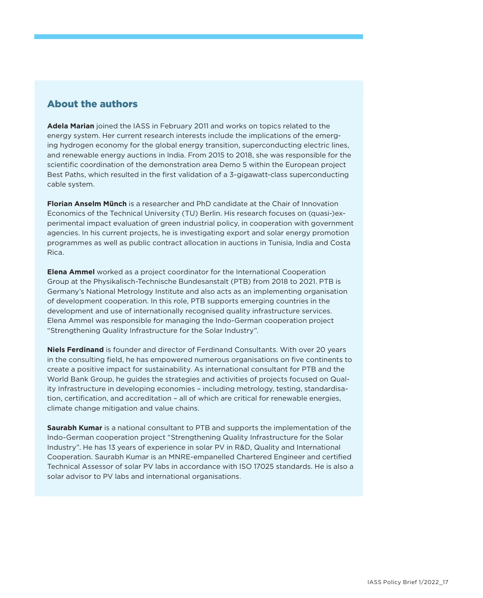## About the authors

**Adela Marian** joined the IASS in February 2011 and works on topics related to the energy system. Her current research interests include the implications of the emerging hydrogen economy for the global energy transition, superconducting electric lines, and renewable energy auctions in India. From 2015 to 2018, she was responsible for the scientific coordination of the demonstration area Demo 5 within the European project Best Paths, which resulted in the first validation of a 3-gigawatt-class superconducting cable system.

**Florian Anselm Münch** is a researcher and PhD candidate at the Chair of Innovation Economics of the Technical University (TU) Berlin. His research focuses on (quasi-)experimental impact evaluation of green industrial policy, in cooperation with government agencies. In his current projects, he is investigating export and solar energy promotion programmes as well as public contract allocation in auctions in Tunisia, India and Costa Rica.

**Elena Ammel** worked as a project coordinator for the International Cooperation Group at the Physikalisch-Technische Bundesanstalt (PTB) from 2018 to 2021. PTB is Germany's National Metrology Institute and also acts as an implementing organisation of development cooperation. In this role, PTB supports emerging countries in the development and use of internationally recognised quality infrastructure services. Elena Ammel was responsible for managing the Indo-German cooperation project "Strengthening Quality Infrastructure for the Solar Industry".

**Niels Ferdinand** is founder and director of Ferdinand Consultants. With over 20 years in the consulting field, he has empowered numerous organisations on five continents to create a positive impact for sustainability. As international consultant for PTB and the World Bank Group, he guides the strategies and activities of projects focused on Quality Infrastructure in developing economies – including metrology, testing, standardisation, certification, and accreditation – all of which are critical for renewable energies, climate change mitigation and value chains.

**Saurabh Kumar** is a national consultant to PTB and supports the implementation of the Indo-German cooperation project "Strengthening Quality Infrastructure for the Solar Industry". He has 13 years of experience in solar PV in R&D, Quality and International Cooperation. Saurabh Kumar is an MNRE-empanelled Chartered Engineer and certified Technical Assessor of solar PV labs in accordance with ISO 17025 standards. He is also a solar advisor to PV labs and international organisations.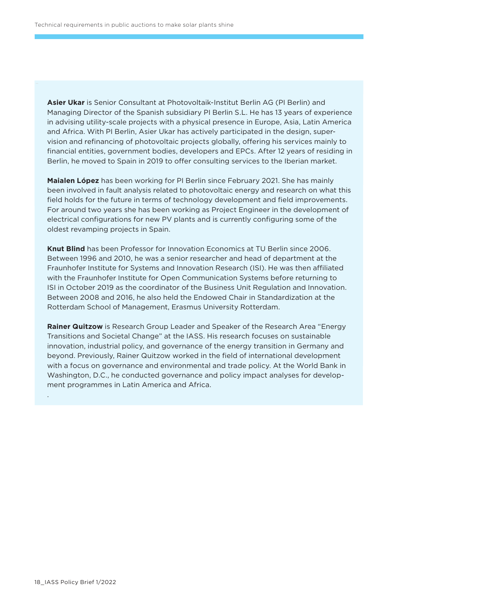**Asier Ukar** is Senior Consultant at Photovoltaik-Institut Berlin AG (PI Berlin) and Managing Director of the Spanish subsidiary PI Berlin S.L. He has 13 years of experience in advising utility-scale projects with a physical presence in Europe, Asia, Latin America and Africa. With PI Berlin, Asier Ukar has actively participated in the design, supervision and refinancing of photovoltaic projects globally, offering his services mainly to financial entities, government bodies, developers and EPCs. After 12 years of residing in Berlin, he moved to Spain in 2019 to offer consulting services to the Iberian market.

**Maialen López** has been working for PI Berlin since February 2021. She has mainly been involved in fault analysis related to photovoltaic energy and research on what this field holds for the future in terms of technology development and field improvements. For around two years she has been working as Project Engineer in the development of electrical configurations for new PV plants and is currently configuring some of the oldest revamping projects in Spain.

**Knut Blind** has been Professor for Innovation Economics at TU Berlin since 2006. Between 1996 and 2010, he was a senior researcher and head of department at the Fraunhofer Institute for Systems and Innovation Research (ISI). He was then affiliated with the Fraunhofer Institute for Open Communication Systems before returning to ISI in October 2019 as the coordinator of the Business Unit Regulation and Innovation. Between 2008 and 2016, he also held the Endowed Chair in Standardization at the Rotterdam School of Management, Erasmus University Rotterdam.

**Rainer Quitzow** is Research Group Leader and Speaker of the Research Area "Energy Transitions and Societal Change" at the IASS. His research focuses on sustainable innovation, industrial policy, and governance of the energy transition in Germany and beyond. Previously, Rainer Quitzow worked in the field of international development with a focus on governance and environmental and trade policy. At the World Bank in Washington, D.C., he conducted governance and policy impact analyses for development programmes in Latin America and Africa.

.